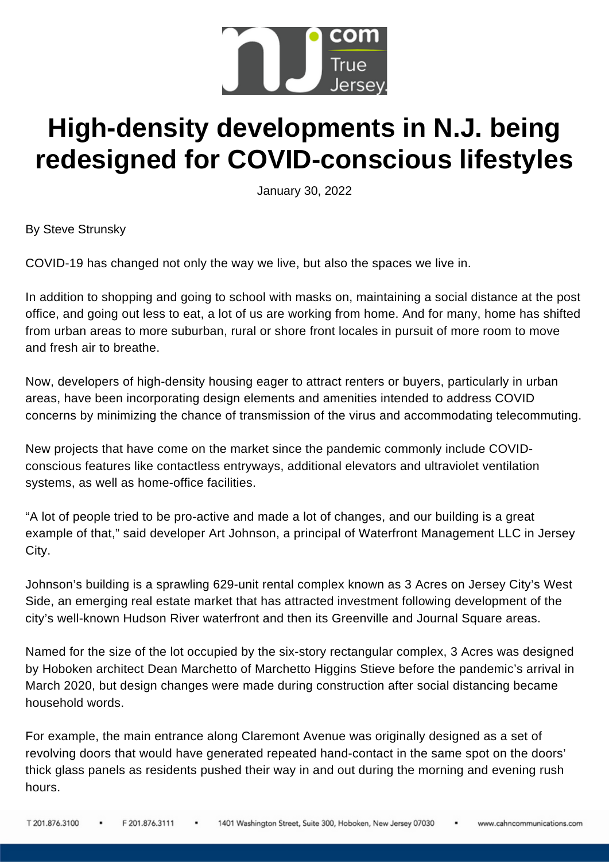

## **High-density developments in N.J. being redesigned for COVID-conscious lifestyles**

January 30, 2022

By Steve Strunsky

[COVID-19](https://www.nj.com/search/?q=COVID-19) has changed not only the way we live, but also the spaces we live in.

In addition to shopping and going to school with masks on, maintaining a social distance at the post office, and going out less to eat, a lot of us are working from home. And for many, home has shifted from urban areas to more [suburban,](https://www.nj.com/news/2021/04/heres-how-the-pandemic-changed-what-people-look-for-in-a-house-in-nj.html) rural or shore front locales in pursuit of more room to move and fresh air to breathe.

Now, developers of high-density housing eager to attract renters or buyers, particularly in urban areas, have been incorporating design elements and amenities intended to address COVID concerns by minimizing the chance of transmission of the virus and accommodating telecommuting.

New projects that have come on the market since the pandemic commonly include COVIDconscious features like contactless entryways, additional elevators and ultraviolet ventilation systems, as well as home-office facilities.

"A lot of people tried to be pro-active and made a lot of changes, and our building is a great example of that," said developer Art Johnson, a principal of Waterfront [Management](https://www.waterfrontmgmtsys.com/contact-us) LLC in Jersey City.

Johnson's building is a sprawling 629-unit rental complex known as 3 Acres on Jersey City's West Side, an emerging real estate market that has attracted investment following development of the city's well-known Hudson River waterfront and then its Greenville and Journal Square areas.

Named for the size of the lot occupied by the six-story rectangular complex, 3 Acres was designed by Hoboken architect Dean Marchetto of [Marchetto](http://www.mhsarchitects.com/) Higgins Stieve before the pandemic's arrival in March 2020, but design changes were made during construction after social distancing became household words.

For example, the main entrance along Claremont Avenue was originally designed as a set of revolving doors that would have generated repeated hand-contact in the same spot on the doors' thick glass panels as residents pushed their way in and out during the morning and evening rush hours.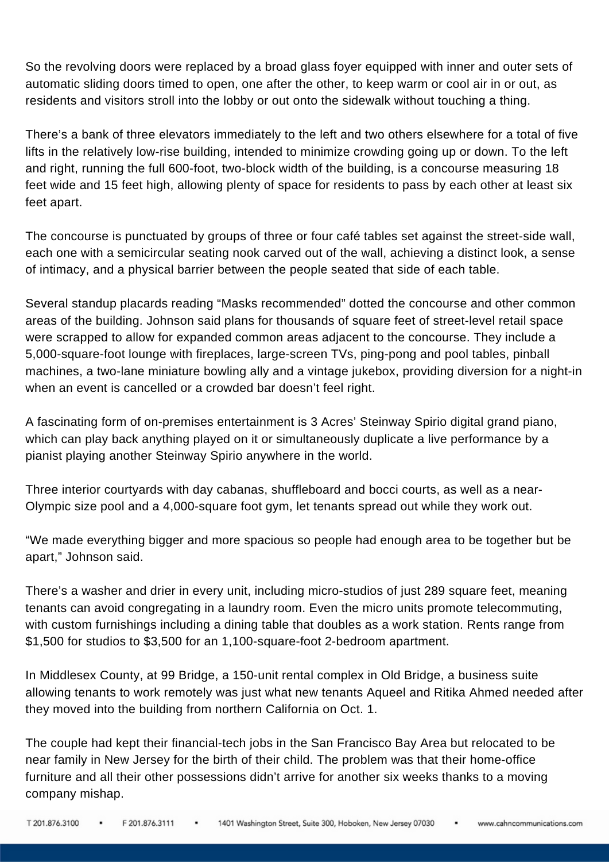So the revolving doors were replaced by a broad glass foyer equipped with inner and outer sets of automatic sliding doors timed to open, one after the other, to keep warm or cool air in or out, as residents and visitors stroll into the lobby or out onto the sidewalk without touching a thing.

There's a bank of three elevators immediately to the left and two others elsewhere for a total of five lifts in the relatively low-rise building, intended to minimize crowding going up or down. To the left and right, running the full 600-foot, two-block width of the building, is a concourse measuring 18 feet wide and 15 feet high, allowing plenty of space for residents to pass by each other at least six feet apart.

The concourse is punctuated by groups of three or four café tables set against the street-side wall, each one with a semicircular seating nook carved out of the wall, achieving a distinct look, a sense of intimacy, and a physical barrier between the people seated that side of each table.

Several standup placards reading "Masks recommended" dotted the concourse and other common areas of the building. Johnson said plans for thousands of square feet of street-level retail space were scrapped to allow for expanded common areas adjacent to the concourse. They include a 5,000-square-foot lounge with fireplaces, large-screen TVs, ping-pong and pool tables, pinball machines, a two-lane miniature bowling ally and a vintage jukebox, providing diversion for a night-in when an event is cancelled or a crowded bar doesn't feel right.

A fascinating form of on-premises entertainment is 3 Acres' [Steinway](https://gizmodo.com/steinways-self-playing-pianos-can-now-sync-with-live-pe-1847944812) Spirio digital grand piano, which can play back anything played on it or simultaneously duplicate a live performance by a pianist playing another Steinway Spirio anywhere in the world.

Three interior courtyards with day cabanas, shuffleboard and bocci courts, as well as a near-Olympic size pool and a 4,000-square foot gym, let tenants spread out while they work out.

"We made everything bigger and more spacious so people had enough area to be together but be apart," Johnson said.

There's a washer and drier in every unit, including micro-studios of just 289 square feet, meaning tenants can avoid congregating in a laundry room. Even the micro units promote telecommuting, with custom furnishings including a dining table that doubles as a work station. Rents range from \$1,500 for studios to \$3,500 for an 1,100-square-foot 2-bedroom apartment.

In Middlesex County, at 99 Bridge, a 150-unit rental complex in Old Bridge, a business suite allowing tenants to work remotely was just what new tenants Aqueel and Ritika Ahmed needed after they moved into the building from northern California on Oct. 1.

The couple had kept their financial-tech jobs in the San Francisco Bay Area but relocated to be near family in New Jersey for the birth of their child. The problem was that their home-office furniture and all their other possessions didn't arrive for another six weeks thanks to a moving company mishap.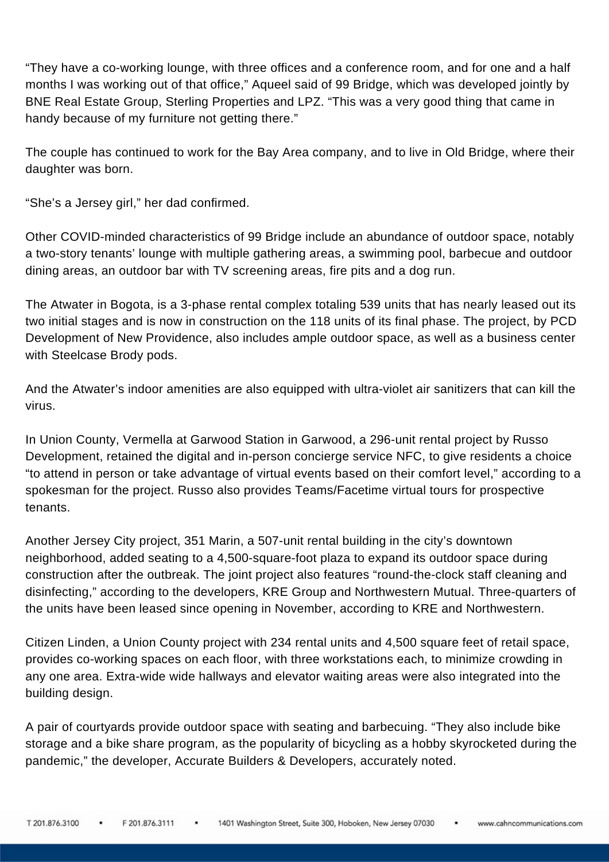"They have a co-working lounge, with three offices and a conference room, and for one and a half months I was working out of that office," Aqueel said of 99 Bridge, which was developed jointly by BNE Real Estate Group, Sterling Properties and LPZ. "This was a very good thing that came in handy because of my furniture not getting there."

The couple has continued to work for the Bay Area company, and to live in Old Bridge, where their daughter was born.

"She's a Jersey girl," her dad confirmed.

Other COVID-minded characteristics of 99 Bridge include an abundance of outdoor space, notably a two-story tenants' lounge with multiple gathering areas, a swimming pool, barbecue and outdoor dining areas, an outdoor bar with TV screening areas, fire pits and a dog run.

The Atwater in Bogota, is a 3-phase rental complex totaling 539 units that has nearly leased out its two initial stages and is now in construction on the 118 units of its final phase. The project, by PCD Development of New Providence, also includes ample outdoor space, as well as a business center with [Steelcase](https://www.steelcase.com/products/lounge-chairs/brody/) Brody pods.

And the Atwater's indoor amenities are also equipped with [ultra-violet](https://www.mdanderson.org/cancerwise/can-air-purifiers-protect-you-from-coronavirus-covid-19.h00-159385101.html) air sanitizers that can kill the virus.

In Union County, Vermella at Garwood Station in Garwood, a 296-unit rental project by Russo Development, retained the digital and in-person concierge service NFC, to give residents a choice "to attend in person or take advantage of virtual events based on their comfort level," according to a spokesman for the project. Russo also provides Teams/Facetime virtual tours for prospective tenants.

Another Jersey City project, 351 [Marin,](https://www.351marinjc.com/) a 507-unit rental building in the city's downtown neighborhood, added seating to a 4,500-square-foot plaza to expand its outdoor space during construction after the outbreak. The joint project also features "round-the-clock staff cleaning and disinfecting," according to the developers, KRE Group and Northwestern Mutual. Three-quarters of the units have been leased since opening in November, according to KRE and Northwestern.

[Citizen](https://www.citizenlinden.com/) Linden, a Union County project with 234 rental units and 4,500 square feet of retail space, provides co-working spaces on each floor, with three workstations each, to minimize crowding in any one area. Extra-wide wide hallways and elevator waiting areas were also integrated into the building design.

A pair of courtyards provide outdoor space with seating and barbecuing. "They also include bike storage and a bike share program, as the popularity of bicycling as a hobby skyrocketed during the pandemic," the developer, Accurate Builders & Developers, accurately noted.